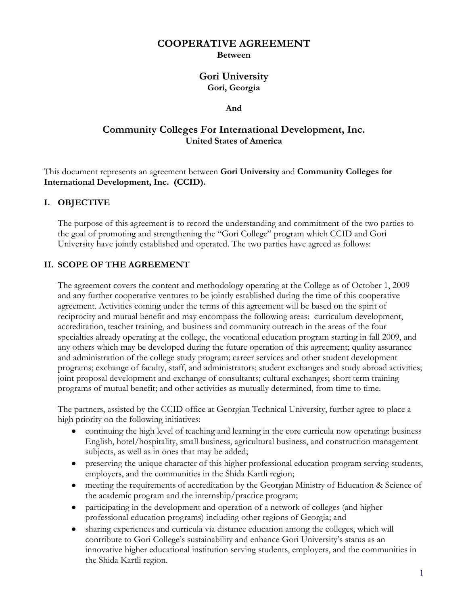### **COOPERATIVE AGREEMENT**

**Between**

### **Gori University Gori, Georgia**

#### **And**

## **Community Colleges For International Development, Inc. United States of America**

This document represents an agreement between **Gori University** and **Community Colleges for International Development, Inc. (CCID).**

#### **I. OBJECTIVE**

The purpose of this agreement is to record the understanding and commitment of the two parties to the goal of promoting and strengthening the "Gori College" program which CCID and Gori University have jointly established and operated. The two parties have agreed as follows:

### **II. SCOPE OF THE AGREEMENT**

The agreement covers the content and methodology operating at the College as of October 1, 2009 and any further cooperative ventures to be jointly established during the time of this cooperative agreement. Activities coming under the terms of this agreement will be based on the spirit of reciprocity and mutual benefit and may encompass the following areas: curriculum development, accreditation, teacher training, and business and community outreach in the areas of the four specialties already operating at the college, the vocational education program starting in fall 2009, and any others which may be developed during the future operation of this agreement; quality assurance and administration of the college study program; career services and other student development programs; exchange of faculty, staff, and administrators; student exchanges and study abroad activities; joint proposal development and exchange of consultants; cultural exchanges; short term training programs of mutual benefit; and other activities as mutually determined, from time to time.

The partners, assisted by the CCID office at Georgian Technical University, further agree to place a high priority on the following initiatives:

- $\bullet$ continuing the high level of teaching and learning in the core curricula now operating: business English, hotel/hospitality, small business, agricultural business, and construction management subjects, as well as in ones that may be added;
- $\bullet$ preserving the unique character of this higher professional education program serving students, employers, and the communities in the Shida Kartli region;
- meeting the requirements of accreditation by the Georgian Ministry of Education & Science of  $\bullet$ the academic program and the internship/practice program;
- $\bullet$ participating in the development and operation of a network of colleges (and higher professional education programs) including other regions of Georgia; and
- sharing experiences and curricula via distance education among the colleges, which will  $\bullet$ contribute to Gori College's sustainability and enhance Gori University's status as an innovative higher educational institution serving students, employers, and the communities in the Shida Kartli region.